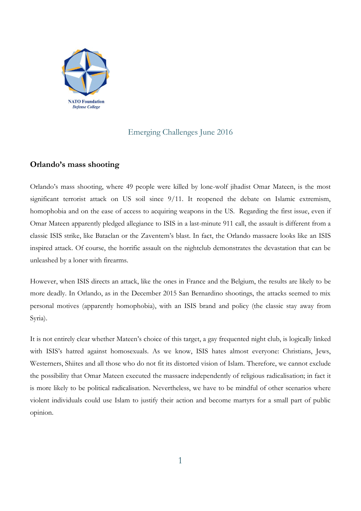

## Emerging Challenges June 2016

## **Orlando's mass shooting**

Orlando's mass shooting, where 49 people were killed by lone-wolf jihadist Omar Mateen, is the most significant terrorist attack on US soil since  $9/11$ . It reopened the debate on Islamic extremism, homophobia and on the ease of access to acquiring weapons in the US. Regarding the first issue, even if Omar Mateen apparently pledged allegiance to ISIS in a last-minute 911 call, the assault is different from a classic ISIS strike, like Bataclan or the Zaventem's blast. In fact, the Orlando massacre looks like an ISIS inspired attack. Of course, the horrific assault on the nightclub demonstrates the devastation that can be unleashed by a loner with firearms.

However, when ISIS directs an attack, like the ones in France and the Belgium, the results are likely to be more deadly. In Orlando, as in the December 2015 San Bernardino shootings, the attacks seemed to mix personal motives (apparently homophobia), with an ISIS brand and policy (the classic stay away from Syria).

It is not entirely clear whether Mateen's choice of this target, a gay frequented night club, is logically linked with ISIS's hatred against homosexuals. As we know, ISIS hates almost everyone: Christians, Jews, Westerners, Shiites and all those who do not fit its distorted vision of Islam. Therefore, we cannot exclude the possibility that Omar Mateen executed the massacre independently of religious radicalisation; in fact it is more likely to be political radicalisation. Nevertheless, we have to be mindful of other scenarios where violent individuals could use Islam to justify their action and become martyrs for a small part of public opinion.